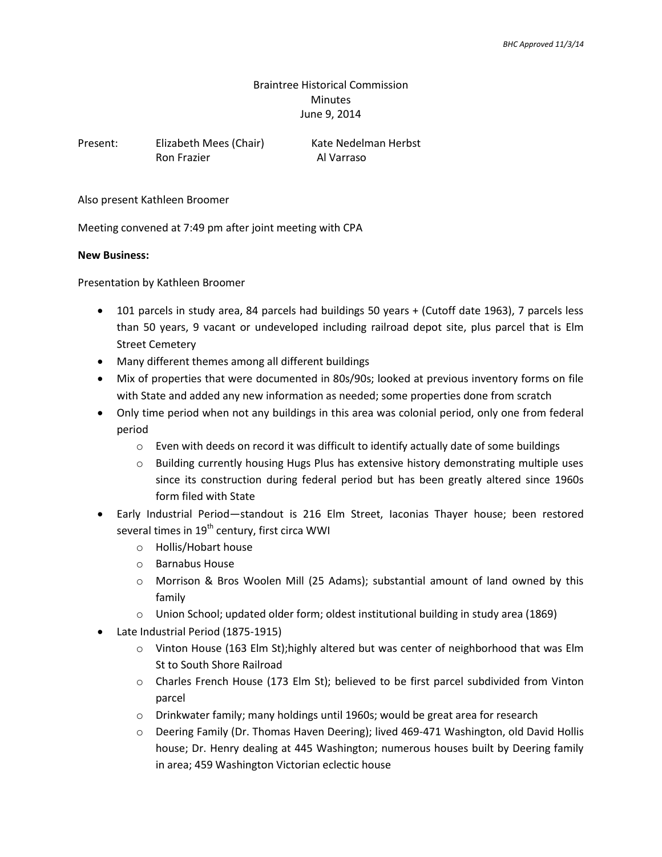## Braintree Historical Commission Minutes June 9, 2014

| Present: | Elizabeth Mees (Chair) | Kate Nedelman Herbst |
|----------|------------------------|----------------------|
|          | Ron Frazier            | Al Varraso           |

Also present Kathleen Broomer

Meeting convened at 7:49 pm after joint meeting with CPA

## **New Business:**

Presentation by Kathleen Broomer

- 101 parcels in study area, 84 parcels had buildings 50 years + (Cutoff date 1963), 7 parcels less than 50 years, 9 vacant or undeveloped including railroad depot site, plus parcel that is Elm Street Cemetery
- Many different themes among all different buildings
- Mix of properties that were documented in 80s/90s; looked at previous inventory forms on file with State and added any new information as needed; some properties done from scratch
- Only time period when not any buildings in this area was colonial period, only one from federal period
	- $\circ$  Even with deeds on record it was difficult to identify actually date of some buildings
	- o Building currently housing Hugs Plus has extensive history demonstrating multiple uses since its construction during federal period but has been greatly altered since 1960s form filed with State
- Early Industrial Period—standout is 216 Elm Street, Iaconias Thayer house; been restored several times in 19<sup>th</sup> century, first circa WWI
	- o Hollis/Hobart house
	- o Barnabus House
	- o Morrison & Bros Woolen Mill (25 Adams); substantial amount of land owned by this family
	- $\circ$  Union School; updated older form; oldest institutional building in study area (1869)
- Late Industrial Period (1875-1915)
	- $\circ$  Vinton House (163 Elm St);highly altered but was center of neighborhood that was Elm St to South Shore Railroad
	- o Charles French House (173 Elm St); believed to be first parcel subdivided from Vinton parcel
	- o Drinkwater family; many holdings until 1960s; would be great area for research
	- o Deering Family (Dr. Thomas Haven Deering); lived 469-471 Washington, old David Hollis house; Dr. Henry dealing at 445 Washington; numerous houses built by Deering family in area; 459 Washington Victorian eclectic house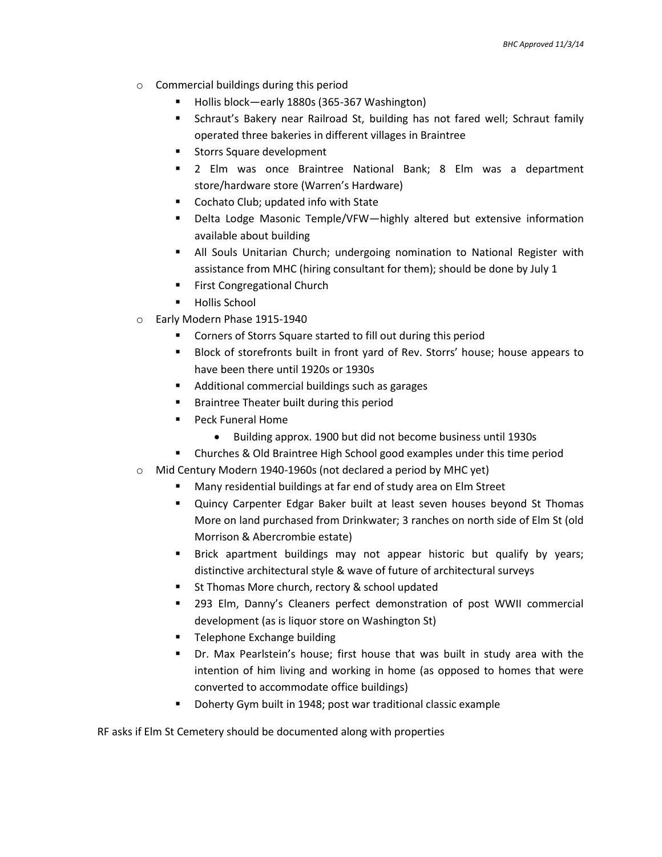- o Commercial buildings during this period
	- Hollis block—early 1880s (365-367 Washington)
	- Schraut's Bakery near Railroad St, building has not fared well; Schraut family operated three bakeries in different villages in Braintree
	- **Storrs Square development**
	- 2 Elm was once Braintree National Bank; 8 Elm was a department store/hardware store (Warren's Hardware)
	- Cochato Club; updated info with State
	- Delta Lodge Masonic Temple/VFW—highly altered but extensive information available about building
	- All Souls Unitarian Church; undergoing nomination to National Register with assistance from MHC (hiring consultant for them); should be done by July 1
	- **First Congregational Church**
	- **Hollis School**
- o Early Modern Phase 1915-1940
	- Corners of Storrs Square started to fill out during this period
	- Block of storefronts built in front yard of Rev. Storrs' house; house appears to have been there until 1920s or 1930s
	- **Additional commercial buildings such as garages**
	- **Braintree Theater built during this period**
	- **Peck Funeral Home** 
		- Building approx. 1900 but did not become business until 1930s
	- Churches & Old Braintree High School good examples under this time period
- o Mid Century Modern 1940-1960s (not declared a period by MHC yet)
	- Many residential buildings at far end of study area on Elm Street
	- Quincy Carpenter Edgar Baker built at least seven houses beyond St Thomas More on land purchased from Drinkwater; 3 ranches on north side of Elm St (old Morrison & Abercrombie estate)
	- Brick apartment buildings may not appear historic but qualify by years; distinctive architectural style & wave of future of architectural surveys
	- St Thomas More church, rectory & school updated
	- 293 Elm, Danny's Cleaners perfect demonstration of post WWII commercial development (as is liquor store on Washington St)
	- Telephone Exchange building
	- Dr. Max Pearlstein's house; first house that was built in study area with the intention of him living and working in home (as opposed to homes that were converted to accommodate office buildings)
	- Doherty Gym built in 1948; post war traditional classic example

RF asks if Elm St Cemetery should be documented along with properties